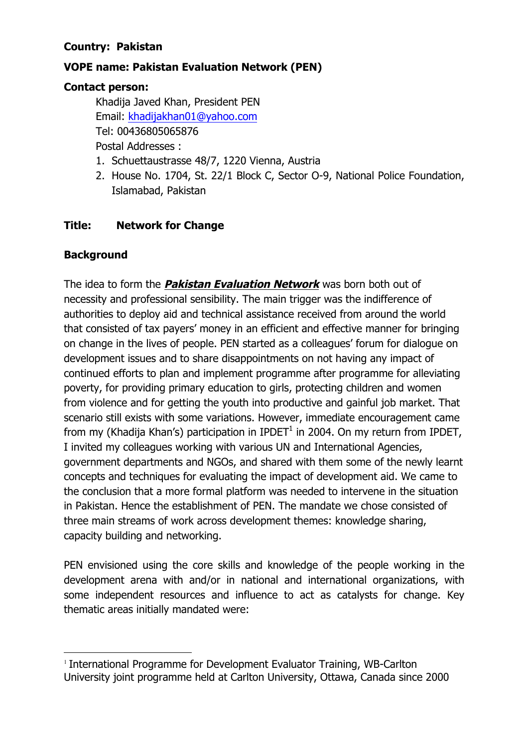#### **Country: Pakistan**

### **VOPE name: Pakistan Evaluation Network (PEN)**

#### **Contact person:**

Khadija Javed Khan, President PEN Email: khadijakhan01@yahoo.com Tel: 00436805065876 Postal Addresses :

- 1. Schuettaustrasse 48/7, 1220 Vienna, Austria
- 2. House No. 1704, St. 22/1 Block C, Sector O-9, National Police Foundation, Islamabad, Pakistan

## **Title: Network for Change**

## **Background**

The idea to form the **Pakistan Evaluation Network** was born both out of necessity and professional sensibility. The main trigger was the indifference of authorities to deploy aid and technical assistance received from around the world that consisted of tax payers' money in an efficient and effective manner for bringing on change in the lives of people. PEN started as a colleagues' forum for dialogue on development issues and to share disappointments on not having any impact of continued efforts to plan and implement programme after programme for alleviating poverty, for providing primary education to girls, protecting children and women from violence and for getting the youth into productive and gainful job market. That scenario still exists with some variations. However, immediate encouragement came from my (Khadija Khan's) participation in IPDET<sup>1</sup> in 2004. On my return from IPDET, I invited my colleagues working with various UN and International Agencies, government departments and NGOs, and shared with them some of the newly learnt concepts and techniques for evaluating the impact of development aid. We came to the conclusion that a more formal platform was needed to intervene in the situation in Pakistan. Hence the establishment of PEN. The mandate we chose consisted of three main streams of work across development themes: knowledge sharing, capacity building and networking.

PEN envisioned using the core skills and knowledge of the people working in the development arena with and/or in national and international organizations, with some independent resources and influence to act as catalysts for change. Key thematic areas initially mandated were:

<sup>&</sup>lt;sup>1</sup> International Programme for Development Evaluator Training, WB-Carlton University joint programme held at Carlton University, Ottawa, Canada since 2000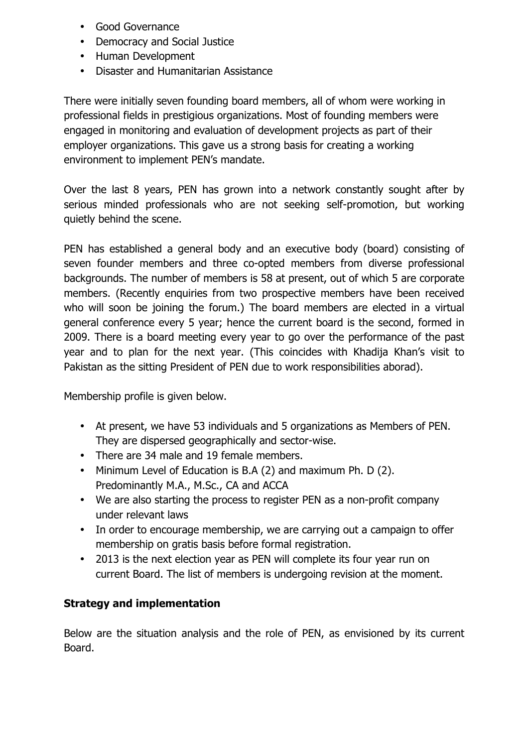- Good Governance
- Democracy and Social Justice
- Human Development
- Disaster and Humanitarian Assistance

There were initially seven founding board members, all of whom were working in professional fields in prestigious organizations. Most of founding members were engaged in monitoring and evaluation of development projects as part of their employer organizations. This gave us a strong basis for creating a working environment to implement PEN's mandate.

Over the last 8 years, PEN has grown into a network constantly sought after by serious minded professionals who are not seeking self-promotion, but working quietly behind the scene.

PEN has established a general body and an executive body (board) consisting of seven founder members and three co-opted members from diverse professional backgrounds. The number of members is 58 at present, out of which 5 are corporate members. (Recently enquiries from two prospective members have been received who will soon be joining the forum.) The board members are elected in a virtual general conference every 5 year; hence the current board is the second, formed in 2009. There is a board meeting every year to go over the performance of the past year and to plan for the next year. (This coincides with Khadija Khan's visit to Pakistan as the sitting President of PEN due to work responsibilities aborad).

Membership profile is given below.

- At present, we have 53 individuals and 5 organizations as Members of PEN. They are dispersed geographically and sector-wise.
- There are 34 male and 19 female members.
- Minimum Level of Education is B.A (2) and maximum Ph. D (2). Predominantly M.A., M.Sc., CA and ACCA
- We are also starting the process to register PEN as a non-profit company under relevant laws
- In order to encourage membership, we are carrying out a campaign to offer membership on gratis basis before formal registration.
- 2013 is the next election year as PEN will complete its four year run on current Board. The list of members is undergoing revision at the moment.

# **Strategy and implementation**

Below are the situation analysis and the role of PEN, as envisioned by its current Board.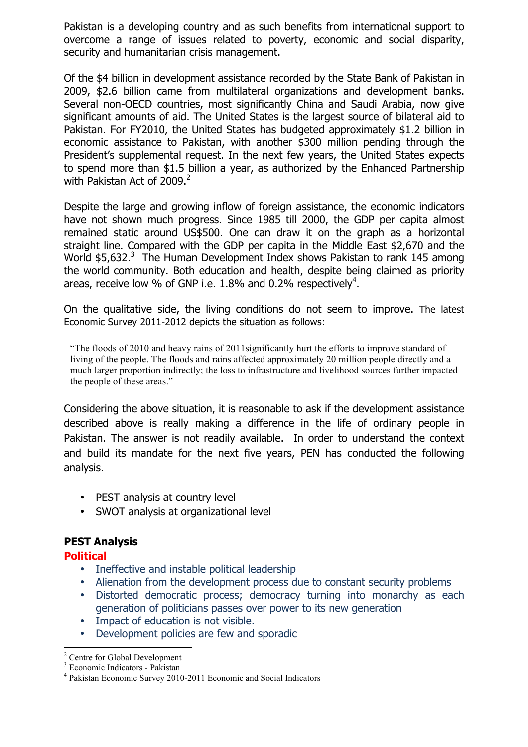Pakistan is a developing country and as such benefits from international support to overcome a range of issues related to poverty, economic and social disparity, security and humanitarian crisis management.

Of the \$4 billion in development assistance recorded by the State Bank of Pakistan in 2009, \$2.6 billion came from multilateral organizations and development banks. Several non-OECD countries, most significantly China and Saudi Arabia, now give significant amounts of aid. The United States is the largest source of bilateral aid to Pakistan. For FY2010, the United States has budgeted approximately \$1.2 billion in economic assistance to Pakistan, with another \$300 million pending through the President's supplemental request. In the next few years, the United States expects to spend more than \$1.5 billion a year, as authorized by the Enhanced Partnership with Pakistan Act of 2009.<sup>2</sup>

Despite the large and growing inflow of foreign assistance, the economic indicators have not shown much progress. Since 1985 till 2000, the GDP per capita almost remained static around US\$500. One can draw it on the graph as a horizontal straight line. Compared with the GDP per capita in the Middle East \$2,670 and the World  $$5,632.<sup>3</sup>$  The Human Development Index shows Pakistan to rank 145 among the world community. Both education and health, despite being claimed as priority areas, receive low % of GNP i.e. 1.8% and 0.2% respectively<sup>4</sup>.

On the qualitative side, the living conditions do not seem to improve. The latest Economic Survey 2011-2012 depicts the situation as follows:

"The floods of 2010 and heavy rains of 2011significantly hurt the efforts to improve standard of living of the people. The floods and rains affected approximately 20 million people directly and a much larger proportion indirectly; the loss to infrastructure and livelihood sources further impacted the people of these areas."

Considering the above situation, it is reasonable to ask if the development assistance described above is really making a difference in the life of ordinary people in Pakistan. The answer is not readily available. In order to understand the context and build its mandate for the next five years, PEN has conducted the following analysis.

- PEST analysis at country level
- SWOT analysis at organizational level

#### **PEST Analysis**

**Political**

- Ineffective and instable political leadership
- Alienation from the development process due to constant security problems
- Distorted democratic process; democracy turning into monarchy as each generation of politicians passes over power to its new generation
- Impact of education is not visible.
- Development policies are few and sporadic

 $\frac{2}{3}$  Centre for Global Development  $\frac{3}{3}$  Economic Indicators - Pakistan

<sup>&</sup>lt;sup>4</sup> Pakistan Economic Survey 2010-2011 Economic and Social Indicators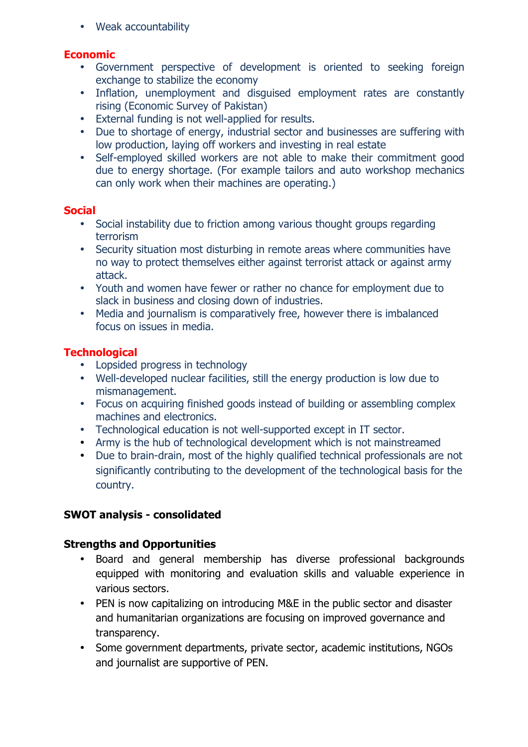• Weak accountability

#### **Economic**

- Government perspective of development is oriented to seeking foreign exchange to stabilize the economy
- Inflation, unemployment and disguised employment rates are constantly rising (Economic Survey of Pakistan)
- External funding is not well-applied for results.
- Due to shortage of energy, industrial sector and businesses are suffering with low production, laying off workers and investing in real estate
- Self-employed skilled workers are not able to make their commitment good due to energy shortage. (For example tailors and auto workshop mechanics can only work when their machines are operating.)

#### **Social**

- Social instability due to friction among various thought groups regarding terrorism
- Security situation most disturbing in remote areas where communities have no way to protect themselves either against terrorist attack or against army attack.
- Youth and women have fewer or rather no chance for employment due to slack in business and closing down of industries.
- Media and journalism is comparatively free, however there is imbalanced focus on issues in media.

### **Technological**

- Lopsided progress in technology
- Well-developed nuclear facilities, still the energy production is low due to mismanagement.
- Focus on acquiring finished goods instead of building or assembling complex machines and electronics.
- Technological education is not well-supported except in IT sector.
- Army is the hub of technological development which is not mainstreamed
- Due to brain-drain, most of the highly qualified technical professionals are not significantly contributing to the development of the technological basis for the country.

### **SWOT analysis - consolidated**

#### **Strengths and Opportunities**

- Board and general membership has diverse professional backgrounds equipped with monitoring and evaluation skills and valuable experience in various sectors.
- PEN is now capitalizing on introducing M&E in the public sector and disaster and humanitarian organizations are focusing on improved governance and transparency.
- Some government departments, private sector, academic institutions, NGOs and journalist are supportive of PEN.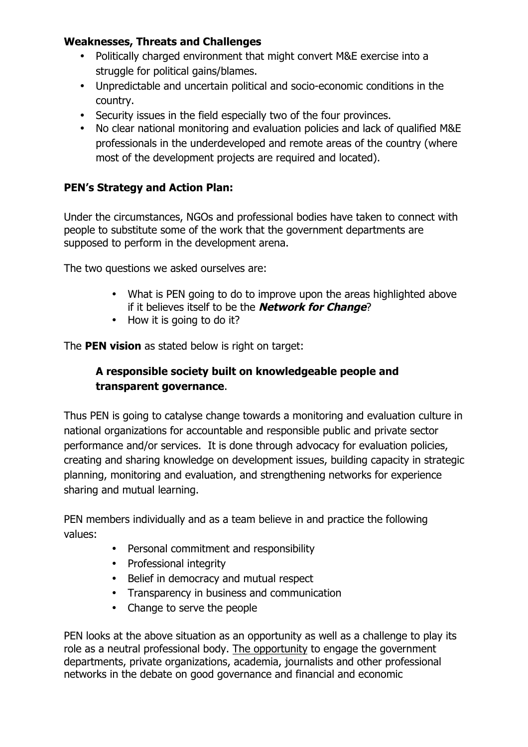### **Weaknesses, Threats and Challenges**

- Politically charged environment that might convert M&E exercise into a struggle for political gains/blames.
- Unpredictable and uncertain political and socio-economic conditions in the country.
- Security issues in the field especially two of the four provinces.
- No clear national monitoring and evaluation policies and lack of qualified M&E professionals in the underdeveloped and remote areas of the country (where most of the development projects are required and located).

## **PEN's Strategy and Action Plan:**

Under the circumstances, NGOs and professional bodies have taken to connect with people to substitute some of the work that the government departments are supposed to perform in the development arena.

The two questions we asked ourselves are:

- What is PEN going to do to improve upon the areas highlighted above if it believes itself to be the **Network for Change**?
- How it is going to do it?

The **PEN vision** as stated below is right on target:

## **A responsible society built on knowledgeable people and transparent governance**.

Thus PEN is going to catalyse change towards a monitoring and evaluation culture in national organizations for accountable and responsible public and private sector performance and/or services. It is done through advocacy for evaluation policies, creating and sharing knowledge on development issues, building capacity in strategic planning, monitoring and evaluation, and strengthening networks for experience sharing and mutual learning.

PEN members individually and as a team believe in and practice the following values:

- Personal commitment and responsibility
- Professional integrity
- Belief in democracy and mutual respect
- Transparency in business and communication
- Change to serve the people

PEN looks at the above situation as an opportunity as well as a challenge to play its role as a neutral professional body. The opportunity to engage the government departments, private organizations, academia, journalists and other professional networks in the debate on good governance and financial and economic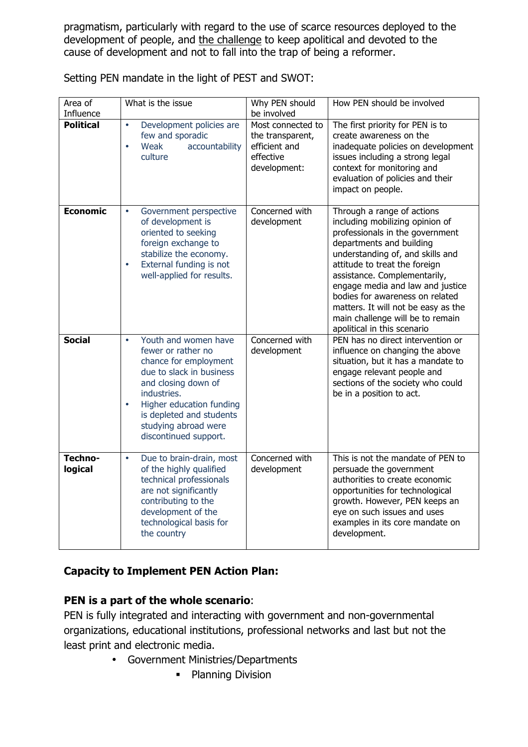pragmatism, particularly with regard to the use of scarce resources deployed to the development of people, and the challenge to keep apolitical and devoted to the cause of development and not to fall into the trap of being a reformer.

| Area of<br>Influence | What is the issue                                                                                                                                                                                                                                                        | Why PEN should<br>be involved                                                       | How PEN should be involved                                                                                                                                                                                                                                                                                                                                                                                         |
|----------------------|--------------------------------------------------------------------------------------------------------------------------------------------------------------------------------------------------------------------------------------------------------------------------|-------------------------------------------------------------------------------------|--------------------------------------------------------------------------------------------------------------------------------------------------------------------------------------------------------------------------------------------------------------------------------------------------------------------------------------------------------------------------------------------------------------------|
| <b>Political</b>     | Development policies are<br>$\bullet$<br>few and sporadic<br>Weak<br>$\bullet$<br>accountability<br>culture                                                                                                                                                              | Most connected to<br>the transparent,<br>efficient and<br>effective<br>development: | The first priority for PEN is to<br>create awareness on the<br>inadequate policies on development<br>issues including a strong legal<br>context for monitoring and<br>evaluation of policies and their<br>impact on people.                                                                                                                                                                                        |
| <b>Economic</b>      | Government perspective<br>$\bullet$<br>of development is<br>oriented to seeking<br>foreign exchange to<br>stabilize the economy.<br>External funding is not<br>$\bullet$<br>well-applied for results.                                                                    | Concerned with<br>development                                                       | Through a range of actions<br>including mobilizing opinion of<br>professionals in the government<br>departments and building<br>understanding of, and skills and<br>attitude to treat the foreign<br>assistance. Complementarily,<br>engage media and law and justice<br>bodies for awareness on related<br>matters. It will not be easy as the<br>main challenge will be to remain<br>apolitical in this scenario |
| <b>Social</b>        | Youth and women have<br>$\bullet$<br>fewer or rather no<br>chance for employment<br>due to slack in business<br>and closing down of<br>industries.<br>Higher education funding<br>$\bullet$<br>is depleted and students<br>studying abroad were<br>discontinued support. | Concerned with<br>development                                                       | PEN has no direct intervention or<br>influence on changing the above<br>situation, but it has a mandate to<br>engage relevant people and<br>sections of the society who could<br>be in a position to act.                                                                                                                                                                                                          |
| Techno-<br>logical   | Due to brain-drain, most<br>$\bullet$<br>of the highly qualified<br>technical professionals<br>are not significantly<br>contributing to the<br>development of the<br>technological basis for<br>the country                                                              | Concerned with<br>development                                                       | This is not the mandate of PEN to<br>persuade the government<br>authorities to create economic<br>opportunities for technological<br>growth. However, PEN keeps an<br>eye on such issues and uses<br>examples in its core mandate on<br>development.                                                                                                                                                               |

Setting PEN mandate in the light of PEST and SWOT:

# **Capacity to Implement PEN Action Plan:**

# **PEN is a part of the whole scenario**:

PEN is fully integrated and interacting with government and non-governmental organizations, educational institutions, professional networks and last but not the least print and electronic media.

- Government Ministries/Departments
	- Planning Division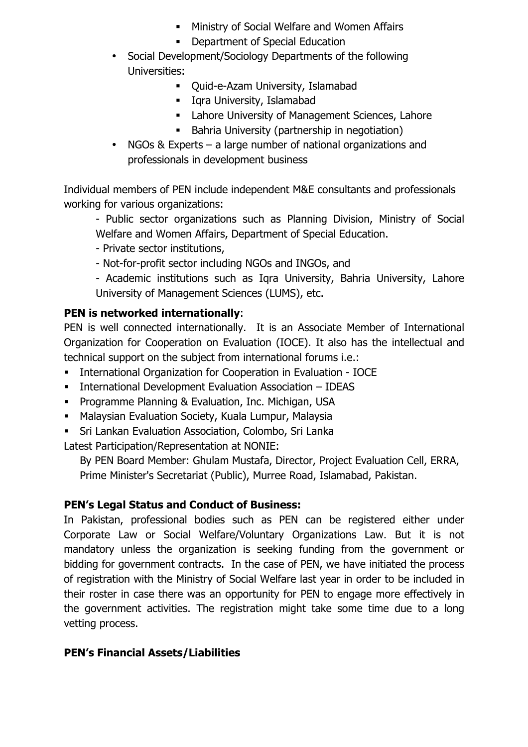- **Ministry of Social Welfare and Women Affairs**
- **-** Department of Special Education
- Social Development/Sociology Departments of the following Universities:
	- Ouid-e-Azam University, Islamabad
	- **Iqra University, Islamabad**
	- **EXEC** Lahore University of Management Sciences, Lahore
	- **Bahria University (partnership in negotiation)**
- NGOs & Experts a large number of national organizations and professionals in development business

Individual members of PEN include independent M&E consultants and professionals working for various organizations:

- Public sector organizations such as Planning Division, Ministry of Social Welfare and Women Affairs, Department of Special Education.

- Private sector institutions,
- Not-for-profit sector including NGOs and INGOs, and
- Academic institutions such as Iqra University, Bahria University, Lahore University of Management Sciences (LUMS), etc.

### **PEN is networked internationally**:

PEN is well connected internationally. It is an Associate Member of International Organization for Cooperation on Evaluation (IOCE). It also has the intellectual and technical support on the subject from international forums i.e.:

- **EXECT** International Organization for Cooperation in Evaluation IOCE
- **EXECTE 11 International Development Evaluation Association IDEAS**
- **Programme Planning & Evaluation, Inc. Michigan, USA**
- Malaysian Evaluation Society, Kuala Lumpur, Malaysia
- Sri Lankan Evaluation Association, Colombo, Sri Lanka

Latest Participation/Representation at NONIE:

By PEN Board Member: Ghulam Mustafa, Director, Project Evaluation Cell, ERRA, Prime Minister's Secretariat (Public), Murree Road, Islamabad, Pakistan.

### **PEN's Legal Status and Conduct of Business:**

In Pakistan, professional bodies such as PEN can be registered either under Corporate Law or Social Welfare/Voluntary Organizations Law. But it is not mandatory unless the organization is seeking funding from the government or bidding for government contracts. In the case of PEN, we have initiated the process of registration with the Ministry of Social Welfare last year in order to be included in their roster in case there was an opportunity for PEN to engage more effectively in the government activities. The registration might take some time due to a long vetting process.

### **PEN's Financial Assets/Liabilities**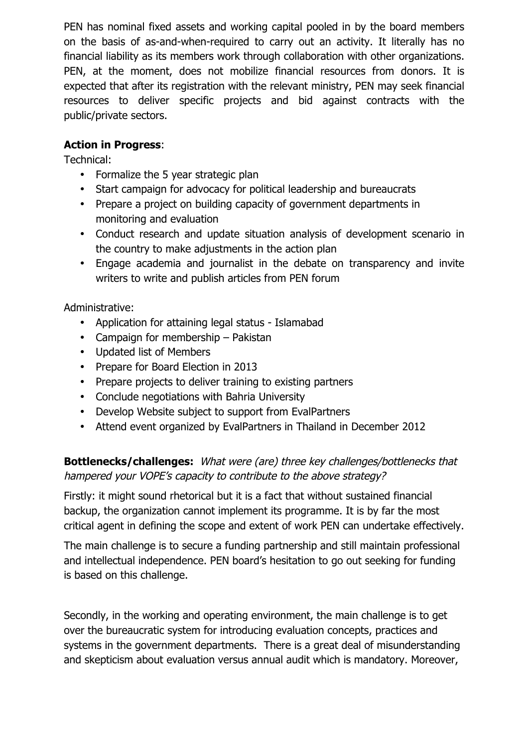PEN has nominal fixed assets and working capital pooled in by the board members on the basis of as-and-when-required to carry out an activity. It literally has no financial liability as its members work through collaboration with other organizations. PEN, at the moment, does not mobilize financial resources from donors. It is expected that after its registration with the relevant ministry, PEN may seek financial resources to deliver specific projects and bid against contracts with the public/private sectors.

## **Action in Progress**:

Technical:

- Formalize the 5 year strategic plan
- Start campaign for advocacy for political leadership and bureaucrats
- Prepare a project on building capacity of government departments in monitoring and evaluation
- Conduct research and update situation analysis of development scenario in the country to make adjustments in the action plan
- Engage academia and journalist in the debate on transparency and invite writers to write and publish articles from PEN forum

Administrative:

- Application for attaining legal status Islamabad
- Campaign for membership Pakistan
- Updated list of Members
- Prepare for Board Election in 2013
- Prepare projects to deliver training to existing partners
- Conclude negotiations with Bahria University
- Develop Website subject to support from EvalPartners
- Attend event organized by EvalPartners in Thailand in December 2012

# **Bottlenecks/challenges:** What were (are) three key challenges/bottlenecks that hampered your VOPE's capacity to contribute to the above strategy?

Firstly: it might sound rhetorical but it is a fact that without sustained financial backup, the organization cannot implement its programme. It is by far the most critical agent in defining the scope and extent of work PEN can undertake effectively.

The main challenge is to secure a funding partnership and still maintain professional and intellectual independence. PEN board's hesitation to go out seeking for funding is based on this challenge.

Secondly, in the working and operating environment, the main challenge is to get over the bureaucratic system for introducing evaluation concepts, practices and systems in the government departments. There is a great deal of misunderstanding and skepticism about evaluation versus annual audit which is mandatory. Moreover,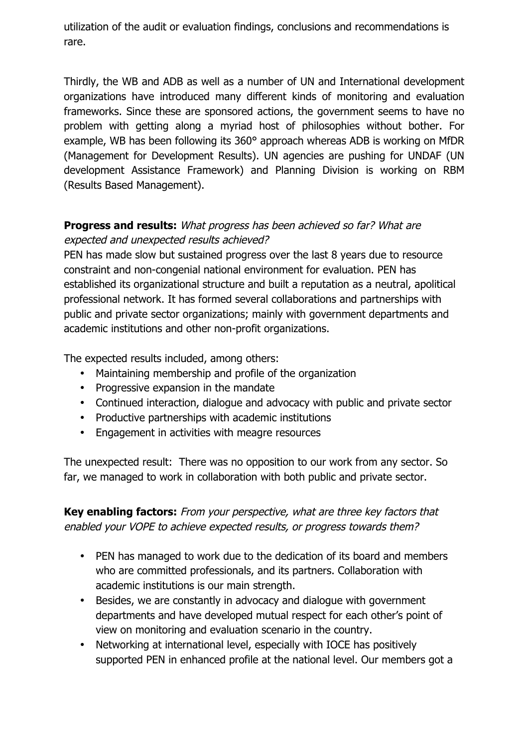utilization of the audit or evaluation findings, conclusions and recommendations is rare.

Thirdly, the WB and ADB as well as a number of UN and International development organizations have introduced many different kinds of monitoring and evaluation frameworks. Since these are sponsored actions, the government seems to have no problem with getting along a myriad host of philosophies without bother. For example, WB has been following its 360° approach whereas ADB is working on MfDR (Management for Development Results). UN agencies are pushing for UNDAF (UN development Assistance Framework) and Planning Division is working on RBM (Results Based Management).

## **Progress and results:** What progress has been achieved so far? What are expected and unexpected results achieved?

PEN has made slow but sustained progress over the last 8 years due to resource constraint and non-congenial national environment for evaluation. PEN has established its organizational structure and built a reputation as a neutral, apolitical professional network. It has formed several collaborations and partnerships with public and private sector organizations; mainly with government departments and academic institutions and other non-profit organizations.

The expected results included, among others:

- Maintaining membership and profile of the organization
- Progressive expansion in the mandate
- Continued interaction, dialogue and advocacy with public and private sector
- Productive partnerships with academic institutions
- Engagement in activities with meagre resources

The unexpected result: There was no opposition to our work from any sector. So far, we managed to work in collaboration with both public and private sector.

**Key enabling factors:** From your perspective, what are three key factors that enabled your VOPE to achieve expected results, or progress towards them?

- PEN has managed to work due to the dedication of its board and members who are committed professionals, and its partners. Collaboration with academic institutions is our main strength.
- Besides, we are constantly in advocacy and dialogue with government departments and have developed mutual respect for each other's point of view on monitoring and evaluation scenario in the country.
- Networking at international level, especially with IOCE has positively supported PEN in enhanced profile at the national level. Our members got a